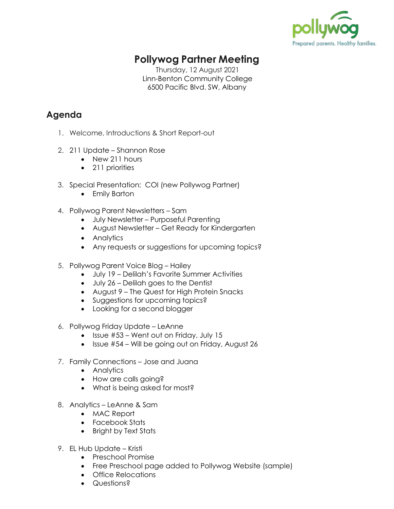

## **Pollywog Partner Meeting**

Thursday, 12 August 2021 Linn-Benton Community College 6500 Pacific Blvd. SW, Albany

## **Agenda**

- 1. Welcome, Introductions & Short Report-out
- 2. 211 Update Shannon Rose
	- New 211 hours
	- 211 priorities
- 3. Special Presentation: COI (new Pollywog Partner)
	- Emily Barton
- 4. Pollywog Parent Newsletters Sam
	- July Newsletter Purposeful Parenting
	- August Newsletter Get Ready for Kindergarten
	- Analytics
	- Any requests or suggestions for upcoming topics?
- 5. Pollywog Parent Voice Blog Hailey
	- July 19 Delilah's Favorite Summer Activities
	- July 26 Delilah goes to the Dentist
	- August 9 The Quest for High Protein Snacks
	- Suggestions for upcoming topics?
	- Looking for a second blogger
- 6. Pollywog Friday Update LeAnne
	- $\bullet$  Issue #53 Went out on Friday, July 15
	- Issue #54 Will be going out on Friday, August 26
- 7. Family Connections Jose and Juana
	- Analytics
	- How are calls going?
	- What is being asked for most?
- 8. Analytics LeAnne & Sam
	- MAC Report
	- Facebook Stats
	- Bright by Text Stats
- 9. EL Hub Update Kristi
	- Preschool Promise
	- Free Preschool page added to Pollywog Website (sample)
	- Office Relocations
	- Questions?